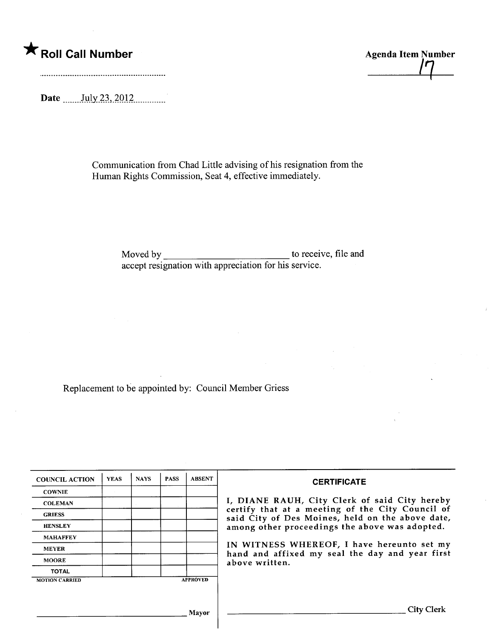\* Roll Call Number Agenda Item Number Agenda Item Number

Date ......Jtl.b~.i~,)QJ2\_\_mmmm.

Communication from Chad Little advising of his resignation from the Human Rights Commission, Seat 4, effective immediately.

> Moved by to receive, file and accept resignation with appreciation for his service.

Replacement to be appointed by: Council Member Griess

| <b>COUNCIL ACTION</b> | <b>YEAS</b> | <b>NAYS</b> | <b>PASS</b> | <b>ABSENT</b>   | <b>CERTIFICATE</b>                                                                                   |
|-----------------------|-------------|-------------|-------------|-----------------|------------------------------------------------------------------------------------------------------|
| <b>COWNIE</b>         |             |             |             |                 |                                                                                                      |
| <b>COLEMAN</b>        |             |             |             |                 | I, DIANE RAUH, City Clerk of said City hereby                                                        |
| <b>GRIESS</b>         |             |             |             |                 | certify that at a meeting of the City Council of<br>said City of Des Moines, held on the above date, |
| <b>HENSLEY</b>        |             |             |             |                 | among other proceedings the above was adopted.                                                       |
| <b>MAHAFFEY</b>       |             |             |             |                 |                                                                                                      |
| <b>MEYER</b>          |             |             |             |                 | IN WITNESS WHEREOF, I have hereunto set my<br>hand and affixed my seal the day and year first        |
| <b>MOORE</b>          |             |             |             |                 | above written.                                                                                       |
| <b>TOTAL</b>          |             |             |             |                 |                                                                                                      |
| <b>MOTION CARRIED</b> |             |             |             | <b>APPROVED</b> |                                                                                                      |
|                       |             |             |             |                 |                                                                                                      |
|                       |             |             |             | <b>Mayor</b>    | City Clerk                                                                                           |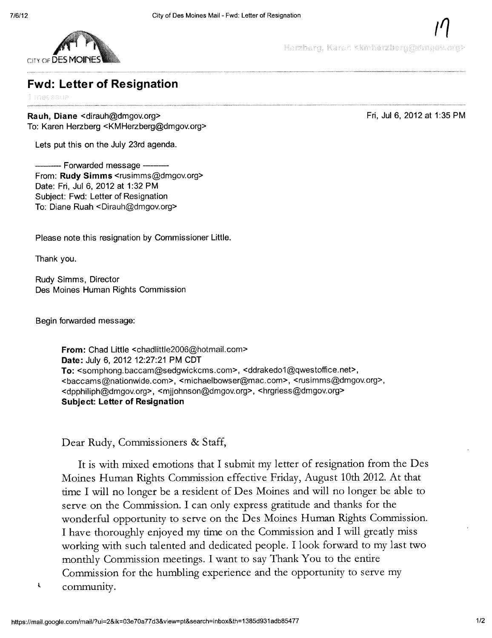

Herzberg, Karen <kmherzberg@dmgov.org>

/1

Fri, Ju16, 2012 at 1:35 PM

## Fwd: Letter of Resignation

mescaur

Rauh, Diane <dirauh@dmgov.org> To: Karen Herzberg <KMHerzberg@dmgov.org>

Lets put this on the July 23rd agenda.

--- Forwarded message -From: Rudy Simms <rusimms@dmgov.org> Date: Fri, Jul 6, 2012 at 1:32 PM Subject: Fwd: Letter of Resignation To: Diane Ruah <Dirauh@dmgov.org>

Please note this resignation by Commissioner Little.

Thank you.

Rudy Simms, Director Des Moines Human Rights Commission

Begin forwarded message:

From: Chad Little <chadlittle2006@hotmail.com> Date: July 6, 2012 12:27:21 PM CDT To: <somphong.baccam@sedgwickcms.com>, <ddrakedo1@qwestoffice.net>, <baccams@nationwide.com>, <michaelbowser@mac.com>, <rusimms@dmgov.org>, <dpphiliph@dmgov.org>, <mjjohnson@dmgov.org>, <hrgriess@dmgov.org> Subject: Letter of Resignation

Dear Rudy, Commissioners & Staff,

It is with mixed emotions that I submit my letter of resignation from the Des Moines Human Rights Commission effective Friday, August 10th 2012. At that time I will no longer be a resident of Des Moines and will no longer be able to serve on the Commission. I can only express gratitude and thanks for the wonderful opportunity to serve on the Des Moines Human Rights Commission. I have thoroughly enjoyed my time on the Commission and I will greatly miss working with such talented and dedicated people. I look forward to my last two monthy Commssion meetings. I want to say Thank You to the entire Commission for the humbling experience and the opportunity to serve my  $\sqrt{\frac{1}{2}}$  community.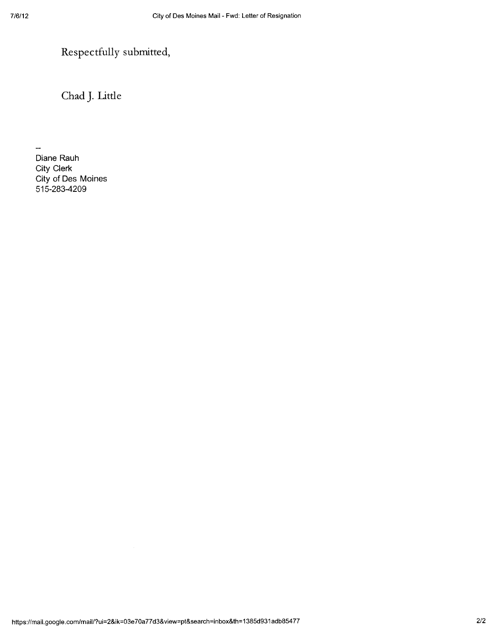# Respectfully submitted,

Chad J. Little

Diane Rauh City Clerk City of Des Moines 515-283-4209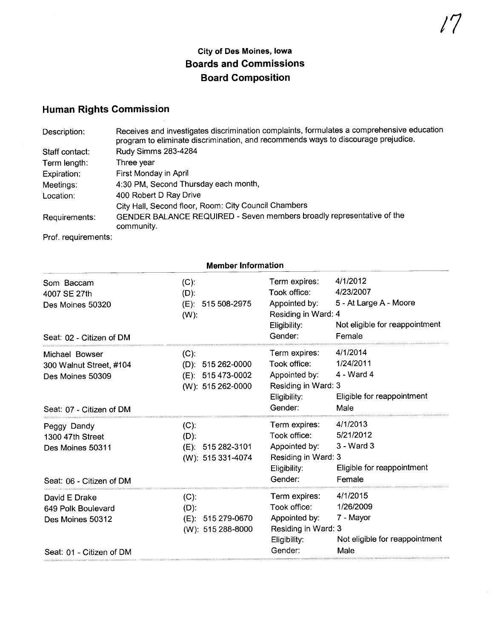### City of Des Moines, Iowa Boards and Commissions Board Composition

## Human Rights Commission

| Description:        | Receives and investigates discrimination complaints, formulates a comprehensive education<br>program to eliminate discrimination, and recommends ways to discourage prejudice. |
|---------------------|--------------------------------------------------------------------------------------------------------------------------------------------------------------------------------|
| Staff contact:      | Rudy Simms 283-4284                                                                                                                                                            |
| Term length:        | Three year                                                                                                                                                                     |
| Expiration:         | First Monday in April                                                                                                                                                          |
| Meetings:           | 4:30 PM, Second Thursday each month,                                                                                                                                           |
| Location:           | 400 Robert D Ray Drive                                                                                                                                                         |
|                     | City Hall, Second floor, Room: City Council Chambers                                                                                                                           |
| Requirements:       | GENDER BALANCE REQUIRED - Seven members broadly representative of the<br>community.                                                                                            |
| Prof. requirements: |                                                                                                                                                                                |

|                                                                                           | <b>Member Information</b><br>4/1/2012<br>Term expires:<br>$(C)$ :<br>4/23/2007<br>Took office:<br>$(D)$ : |                                                                                                  |                                                                              |  |  |  |
|-------------------------------------------------------------------------------------------|-----------------------------------------------------------------------------------------------------------|--------------------------------------------------------------------------------------------------|------------------------------------------------------------------------------|--|--|--|
| Som Baccam<br>4007 SE 27th<br>Des Moines 50320<br>Seat: 02 - Citizen of DM                | (E): 515 508-2975<br>$(W)$ :                                                                              | Appointed by:<br>Residing in Ward: 4<br>Eligibility:<br>Gender:                                  | 5 - At Large A - Moore<br>Not eligible for reappointment<br>Female           |  |  |  |
| Michael Bowser<br>300 Walnut Street, #104<br>Des Moines 50309<br>Seat: 07 - Citizen of DM | $(C)$ :<br>$(D)$ : 515 262-0000<br>(E): 515 473-0002<br>$(W)$ : 515 262-0000                              | Term expires:<br>Took office:<br>Appointed by:<br>Residing in Ward: 3<br>Eligibility:<br>Gender: | 4/1/2014<br>1/24/2011<br>4 - Ward 4<br>Eligible for reappointment<br>Male    |  |  |  |
| Peggy Dandy<br>1300 47th Street<br>Des Moines 50311<br>Seat: 06 - Citizen of DM           | $(C)$ :<br>$(D)$ :<br>$(E)$ : 515 282-3101<br>(W): 515 331-4074                                           | Term expires:<br>Took office:<br>Appointed by:<br>Residing in Ward: 3<br>Eligibility:<br>Gender: | 4/1/2013<br>5/21/2012<br>3 - Ward 3<br>Eligible for reappointment<br>Female  |  |  |  |
| David E Drake<br>649 Polk Boulevard<br>Des Moines 50312<br>Seat: 01 - Citizen of DM       | $(C)$ :<br>$(D)$ :<br>515 279-0670<br>(E):<br>(W): 515 288-8000                                           | Term expires:<br>Took office:<br>Appointed by:<br>Residing in Ward: 3<br>Eligibility:<br>Gender: | 4/1/2015<br>1/26/2009<br>7 - Mayor<br>Not eligible for reappointment<br>Male |  |  |  |